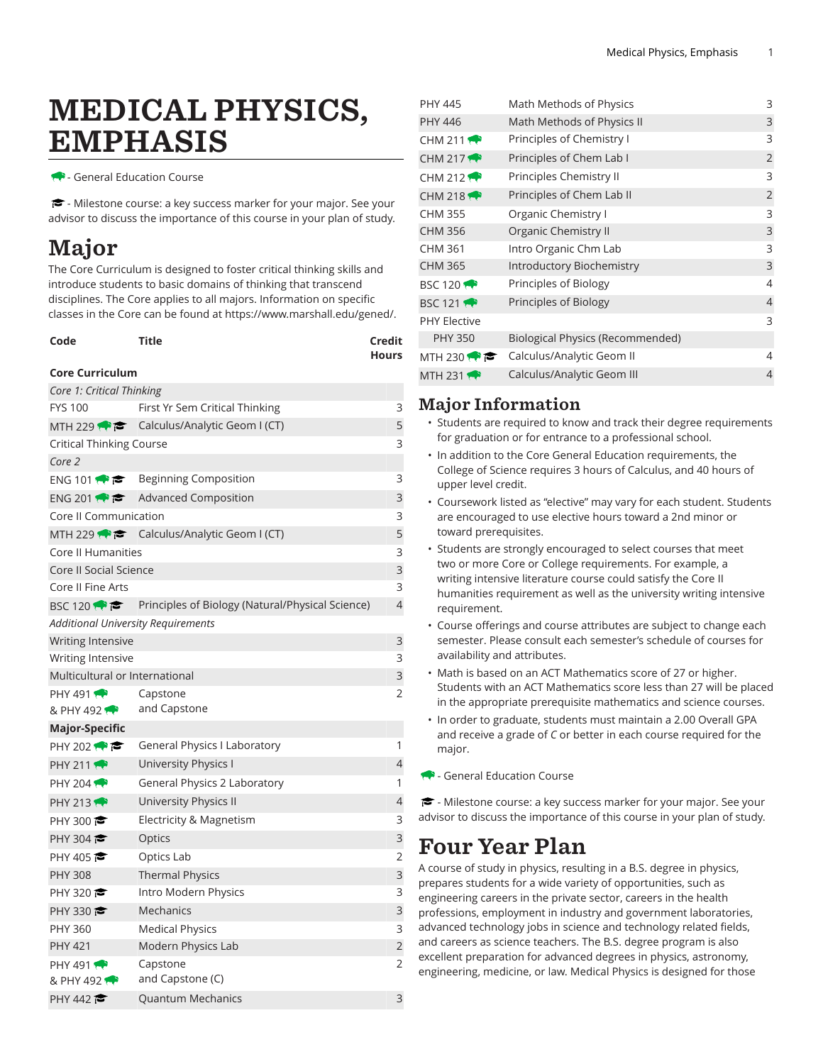# MEDICAL PHYSICS, EMPHASIS

- General Education Course

- Milestone course: a key success marker for your major. See your advisor to discuss the importance of this course in your plan of study.

## Major

The Core Curriculum is designed to foster critical thinking skills and introduce students to basic domains of thinking that transcend disciplines. The Core applies to all majors. Information on specific classes in the Core can be found at [https://www.marshall.edu/gened/.](https://www.marshall.edu/gened/)

| Code | Title | Credit       |
|------|-------|--------------|
|      |       | <b>Hours</b> |

#### **Core Curriculum**

| Core 1: Critical Thinking          |                                                         |                |
|------------------------------------|---------------------------------------------------------|----------------|
| <b>FYS 100</b>                     | First Yr Sem Critical Thinking                          | 3              |
|                                    | MTH 229 $\leftrightarrow$ Calculus/Analytic Geom I (CT) | 5              |
| Critical Thinking Course           |                                                         | 3              |
| Core 2                             |                                                         |                |
| ENG 101                            | Beginning Composition                                   | 3              |
| ENG 201                            | Advanced Composition                                    | 3              |
| Core II Communication              |                                                         | 3              |
|                                    | MTH 229 $\bullet \bullet$ Calculus/Analytic Geom I (CT) | 5              |
| Core II Humanities                 |                                                         | 3              |
| Core II Social Science             |                                                         | 3              |
| Core II Fine Arts                  |                                                         | 3              |
| BSC 120 $\bullet$                  | Principles of Biology (Natural/Physical Science)        | $\overline{4}$ |
| Additional University Requirements |                                                         |                |
| Writing Intensive                  |                                                         | 3              |
| Writing Intensive                  |                                                         | 3              |
| Multicultural or International     |                                                         | 3              |
| <b>PHY 491</b>                     | Capstone                                                | $\overline{2}$ |
| & PHY 492                          | and Capstone                                            |                |
| <b>Major-Specific</b>              |                                                         |                |
| PHY 202 $\bullet$                  | General Physics I Laboratory                            | 1              |
| <b>PHY 211</b>                     | University Physics I                                    | 4              |
| PHY 204 $\rightarrow$              | General Physics 2 Laboratory                            | 1              |
| PHY 213                            | University Physics II                                   | 4              |
| PHY 300 $\bullet$                  | Electricity & Magnetism                                 | 3              |
| PHY 304 $\approx$                  | Optics                                                  | 3              |
| PHY 405                            | Optics Lab                                              | $\overline{2}$ |
| <b>PHY 308</b>                     | <b>Thermal Physics</b>                                  | 3              |
| PHY 320 $\approx$                  | Intro Modern Physics                                    | 3              |
| PHY 330                            | Mechanics                                               | 3              |
| PHY 360                            | <b>Medical Physics</b>                                  | 3              |
| <b>PHY 421</b>                     | Modern Physics Lab                                      | $\overline{2}$ |
| PHY 491 $\bullet$                  | Capstone                                                | 2              |
| & PHY 492                          | and Capstone (C)                                        |                |
| PHY 442                            | <b>Quantum Mechanics</b>                                | 3              |

| 3<br>3<br>$\overline{2}$ |
|--------------------------|
|                          |
|                          |
|                          |
| 3                        |
| $\overline{2}$           |
| 3                        |
| 3                        |
| 3                        |
| 3                        |
| 4                        |
| $\overline{4}$           |
| 3                        |
|                          |
| 4                        |
| 4                        |
|                          |

### Major Information

- Students are required to know and track their degree requirements for graduation or for entrance to a professional school.
- In addition to the Core General Education requirements, the College of Science requires 3 hours of Calculus, and 40 hours of upper level credit.
- Coursework listed as "elective" may vary for each student. Students are encouraged to use elective hours toward a 2nd minor or toward prerequisites.
- Students are strongly encouraged to select courses that meet two or more Core or College requirements. For example, a writing intensive literature course could satisfy the Core II humanities requirement as well as the university writing intensive requirement.
- Course offerings and course attributes are subject to change each semester. Please consult each semester's schedule of courses for availability and attributes.
- Math is based on an ACT Mathematics score of 27 or higher. Students with an ACT Mathematics score less than 27 will be placed in the appropriate prerequisite mathematics and science courses.
- In order to graduate, students must maintain a 2.00 Overall GPA and receive a grade of *C* or better in each course required for the major.
- General Education Course

 $\blacktriangleright$  - Milestone course: a key success marker for your major. See your advisor to discuss the importance of this course in your plan of study.

## Four Year Plan

A course of study in physics, resulting in a B.S. degree in physics, prepares students for a wide variety of opportunities, such as engineering careers in the private sector, careers in the health professions, employment in industry and government laboratories, advanced technology jobs in science and technology related fields, and careers as science teachers. The B.S. degree program is also excellent preparation for advanced degrees in physics, astronomy, engineering, medicine, or law. Medical Physics is designed for those